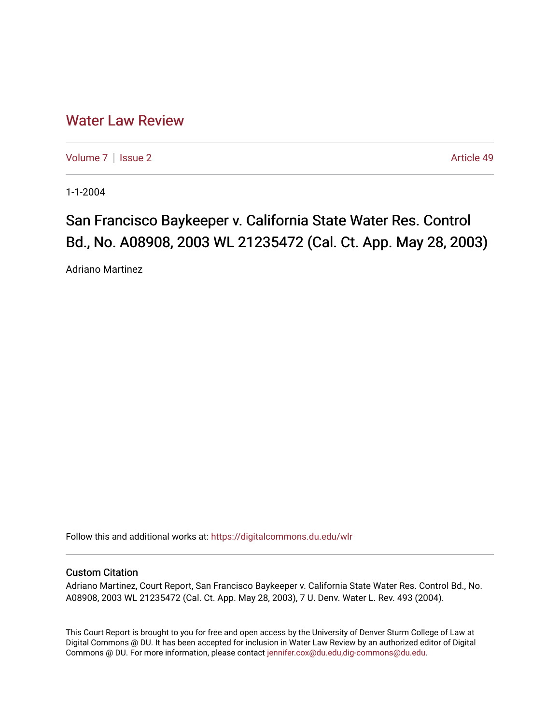## [Water Law Review](https://digitalcommons.du.edu/wlr)

[Volume 7](https://digitalcommons.du.edu/wlr/vol7) | [Issue 2](https://digitalcommons.du.edu/wlr/vol7/iss2) Article 49

1-1-2004

## San Francisco Baykeeper v. California State Water Res. Control Bd., No. A08908, 2003 WL 21235472 (Cal. Ct. App. May 28, 2003)

Adriano Martinez

Follow this and additional works at: [https://digitalcommons.du.edu/wlr](https://digitalcommons.du.edu/wlr?utm_source=digitalcommons.du.edu%2Fwlr%2Fvol7%2Fiss2%2F49&utm_medium=PDF&utm_campaign=PDFCoverPages) 

## Custom Citation

Adriano Martinez, Court Report, San Francisco Baykeeper v. California State Water Res. Control Bd., No. A08908, 2003 WL 21235472 (Cal. Ct. App. May 28, 2003), 7 U. Denv. Water L. Rev. 493 (2004).

This Court Report is brought to you for free and open access by the University of Denver Sturm College of Law at Digital Commons @ DU. It has been accepted for inclusion in Water Law Review by an authorized editor of Digital Commons @ DU. For more information, please contact [jennifer.cox@du.edu,dig-commons@du.edu.](mailto:jennifer.cox@du.edu,dig-commons@du.edu)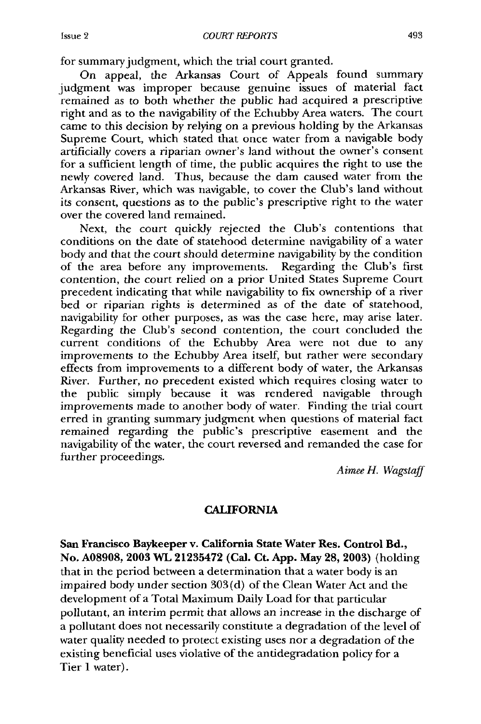for summary judgment, which the trial court granted.

On appeal, the Arkansas Court of Appeals found summary judgment was improper because genuine issues of material fact remained as to both whether the public had acquired a prescriptive right and as to the navigability of the Echubby Area waters. The court came to this decision by relying on a previous holding by the Arkansas Supreme Court, which stated that once water from a navigable body artificially covers a riparian owner's land without the owner's consent for a sufficient length of time, the public acquires the right to use the newly covered land. Thus, because the dam caused water from the Arkansas River, which was navigable, to cover the Club's land without its consent, questions as to the public's prescriptive right to the water over the covered land remained.

Next, the court quickly rejected the Club's contentions that conditions on the date of statehood determine navigability of a water body and that the court should determine navigability by the condition of the area before any improvements. Regarding the Club's first contention, the court relied on a prior United States Supreme Court precedent indicating that while navigability to fix ownership of a river bed or riparian rights is determined as of the date of statehood, navigability for other purposes, as was the case here, may arise later. Regarding the Club's second contention, the court concluded the current conditions of the Echubby Area were not due to any improvements to the Echubby Area itself, but rather were secondary effects from improvements to a different body of water, the Arkansas River. Further, no precedent existed which requires closing water to the public simply because it was rendered navigable through improvements made to another body of water. Finding the trial court erred in granting summary judgment when questions of material fact remained regarding the public's prescriptive easement and the navigability of the water, the court reversed and remanded the case for further proceedings.

*Aimee H. Wagstaff*

## **CALIFORNIA**

**San Francisco Baykeeper v. California State Water Res. Control Bd.,** No. **A08908, 2003** WL **21235472** (Cal. Ct. **App.** May **28, 2003)** (holding that in the period between a determination that a water body is an impaired body under section 303 (d) of the Clean Water Act and the development of a Total Maximum Daily Load for that particular pollutant, an interim permit that allows an increase in the discharge of a pollutant does not necessarily constitute a degradation of the level of water quality needed to protect existing uses nor a degradation of the existing beneficial uses violative of the antidegradation policy for a Tier 1 water).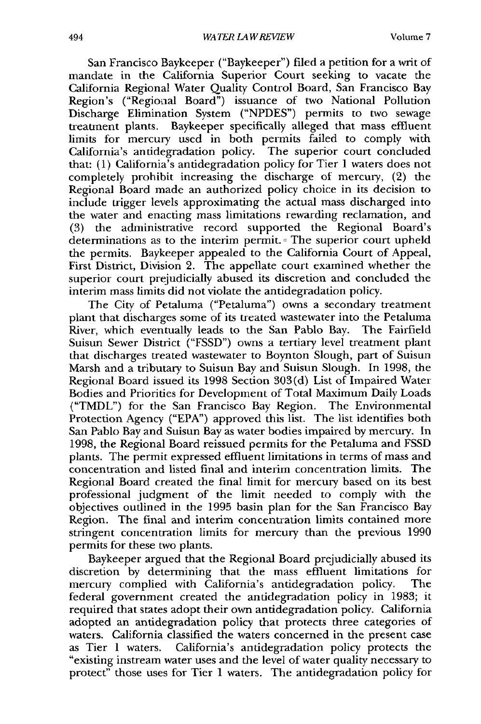San Francisco Baykeeper ("Baykeeper") filed a petition for a writ of mandate in the California Superior Court seeking to vacate the California Regional Water Quality Control Board, San Francisco Bay Region's ("Regionial Board") issuance of two National Pollution Discharge Elimination System ("NPDES") permits to two sewage treatment plants. Baykeeper specifically alleged that mass effluent limits for mercury used in both permits failed to comply with California's antidegradation policy. The superior court concluded that: (1) California's antidegradation policy for Tier 1 waters does not completely prohibit increasing the discharge of mercury, (2) the Regional Board made an authorized policy choice in its decision to include trigger levels approximating the actual mass discharged into the water and enacting mass limitations rewarding reclamation, and (3) the administrative record supported the Regional Board's determinations as to the interim permit. The superior court upheld the permits. Baykeeper appealed to the California Court of Appeal, First District, Division 2. The appellate court examined whether the superior court prejudicially abused its discretion and concluded the interim mass limits did not violate the antidegradation policy.

The City of Petaluma ("Petaluma") owns a secondary treatment plant that discharges some of its treated wastewater into the Petaluma River, which eventually leads to the San Pablo Bay. The Fairfield Suisun Sewer District ("FSSD") owns a tertiary level treatment plant that discharges treated wastewater to Boynton Slough, part of Suisun Marsh and a tributary to Suisun Bay and Suisun Slough. In 1998, the Regional Board issued its 1998 Section 303(d) List of Impaired Water Bodies and Priorities for Development of Total Maximum Daily Loads ("TMDL") for the San Francisco Bay Region. The Environmental Protection Agency ("EPA") approved this list. The list identifies both San Pablo Bay and Suisun Bay as water bodies impaired by mercury. In 1998, the Regional Board reissued permits for the Petaluma and FSSD plants. The permit expressed effluent limitations in terms of mass and concentration and listed final and interim concentration limits. The Regional Board created the final limit for mercury based on its best professional judgment of the limit needed to comply with the objectives outlined in the 1995 basin plan for the San Francisco Bay Region. The final and interim concentration limits contained more stringent concentration limits for mercury than the previous 1990 permits for these two plants.

Baykeeper argued that the Regional Board prejudicially abused its discretion by determining that the mass effluent limitations for mercury complied with California's antidegradation policy. The federal government created the antidegradation policy in 1983; it required that states adopt their own antidegradation policy. California adopted an antidegradation policy that protects three categories of waters. California classified the waters concerned in the present case as Tier 1 waters. California's antidegradation policy protects the "existing instream water uses and the level of water quality necessary to protect" those uses for Tier 1 waters. The antidegradation policy for